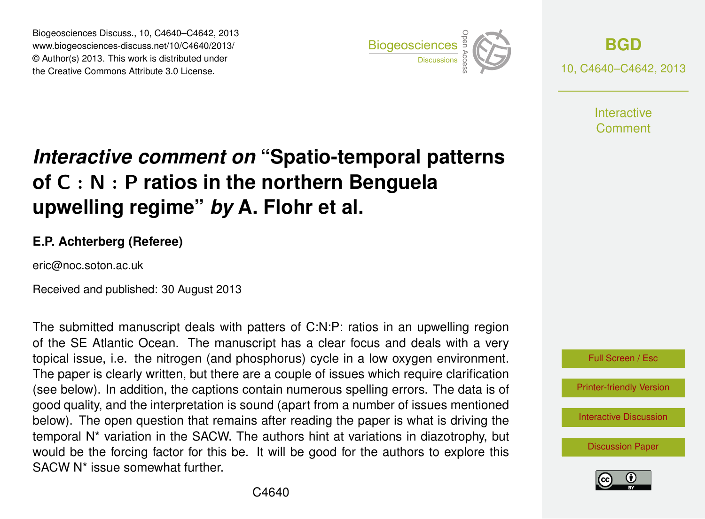Biogeosciences Discuss., 10, C4640–C4642, 2013 www.biogeosciences-discuss.net/10/C4640/2013/ www.biogeosciences-ulscuss.net/10/04040/2013/<br>© Author(s) 2013. This work is distributed under the Creative Commons Attribute 3.0 License.



**[BGD](http://www.biogeosciences-discuss.net)** 10, C4640–C4642, 2013

> **Interactive** Comment

## Earth System of C  $:$  N  $:$  P ratios in the northern Benguela  $\cdot$  $\overline{\phantom{a}}$ *Interactive comment on* **"Spatio-temporal patterns upwelling regime"** *by* **A. Flohr et al.**

## **E.P. Achterberg (Referee)**

eric@noc.soton.ac.uk

Received and published: 30 August 2013

The submitted manuscript deals with patters of C:N:P: ratios in an upwelling region a ig topical issue, i.e. the nitrogen (and phosphorus) cycle in a low oxygen environment. The paper is clearly written, but there are a couple of issues which require clarification (see below). In addition, the captions contain numerous spelling errors. The data is of າ<br>ອ<br>ທ rc<br><sub>I</sub>ri<br>da good quality, and the interpretation is sound (apart from a number of issues mentioned temporal N\* variation in the SACW. The authors hint at variations in diazotrophy, but o<br>P<br>| ۱۱<br>اد<br>ار would be the forcing factor for this be. It will be good for the authors to explore this of the SE Atlantic Ocean. The manuscript has a clear focus and deals with a very below). The open question that remains after reading the paper is what is driving the SACW N\* issue somewhat further.



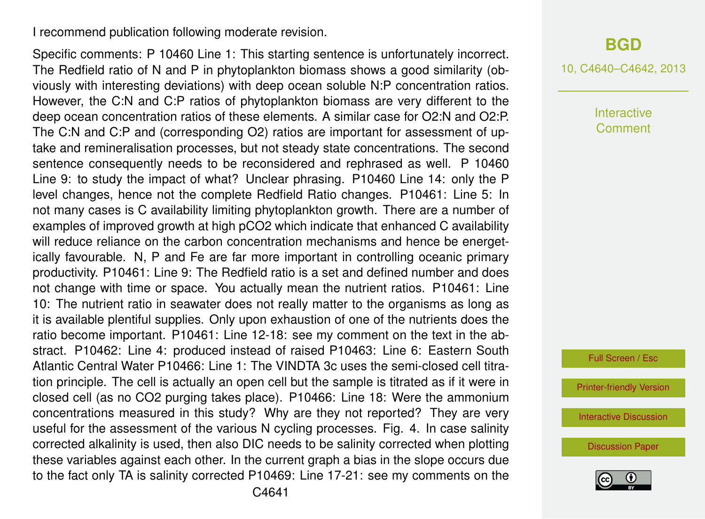I recommend publication following moderate revision.

Specific comments: P 10460 Line 1: This starting sentence is unfortunately incorrect. The Redfield ratio of N and P in phytoplankton biomass shows a good similarity (obviously with interesting deviations) with deep ocean soluble N:P concentration ratios. However, the C:N and C:P ratios of phytoplankton biomass are very different to the deep ocean concentration ratios of these elements. A similar case for O2:N and O2:P. The C:N and C:P and (corresponding O2) ratios are important for assessment of uptake and remineralisation processes, but not steady state concentrations. The second sentence consequently needs to be reconsidered and rephrased as well. P 10460 Line 9: to study the impact of what? Unclear phrasing. P10460 Line 14: only the P level changes, hence not the complete Redfield Ratio changes. P10461: Line 5: In not many cases is C availability limiting phytoplankton growth. There are a number of examples of improved growth at high pCO2 which indicate that enhanced C availability will reduce reliance on the carbon concentration mechanisms and hence be energetically favourable. N, P and Fe are far more important in controlling oceanic primary productivity. P10461: Line 9: The Redfield ratio is a set and defined number and does not change with time or space. You actually mean the nutrient ratios. P10461: Line 10: The nutrient ratio in seawater does not really matter to the organisms as long as it is available plentiful supplies. Only upon exhaustion of one of the nutrients does the ratio become important. P10461: Line 12-18: see my comment on the text in the abstract. P10462: Line 4: produced instead of raised P10463: Line 6: Eastern South Atlantic Central Water P10466: Line 1: The VINDTA 3c uses the semi-closed cell titration principle. The cell is actually an open cell but the sample is titrated as if it were in closed cell (as no CO2 purging takes place). P10466: Line 18: Were the ammonium concentrations measured in this study? Why are they not reported? They are very useful for the assessment of the various N cycling processes. Fig. 4. In case salinity corrected alkalinity is used, then also DIC needs to be salinity corrected when plotting these variables against each other. In the current graph a bias in the slope occurs due to the fact only TA is salinity corrected P10469: Line 17-21: see my comments on the

## **[BGD](http://www.biogeosciences-discuss.net)**

10, C4640–C4642, 2013

**Interactive** Comment

Full Screen / Esc

[Printer-friendly Version](http://www.biogeosciences-discuss.net/10/C4640/2013/bgd-10-C4640-2013-print.pdf)

[Interactive Discussion](http://www.biogeosciences-discuss.net/10/10459/2013/bgd-10-10459-2013-discussion.html)

[Discussion Paper](http://www.biogeosciences-discuss.net/10/10459/2013/bgd-10-10459-2013.pdf)